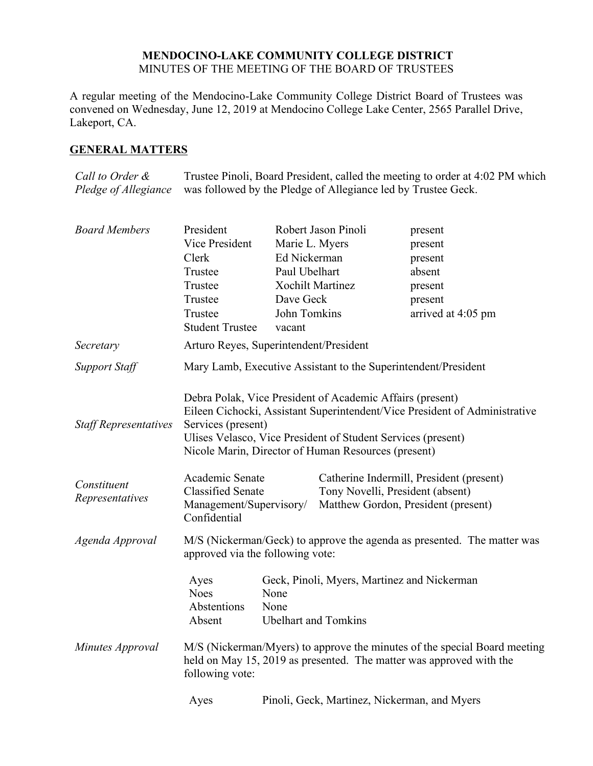### **MENDOCINO-LAKE COMMUNITY COLLEGE DISTRICT** MINUTES OF THE MEETING OF THE BOARD OF TRUSTEES

A regular meeting of the Mendocino-Lake Community College District Board of Trustees was convened on Wednesday, June 12, 2019 at Mendocino College Lake Center, 2565 Parallel Drive, Lakeport, CA.

## **GENERAL MATTERS**

*Call to Order & Pledge of Allegiance* Trustee Pinoli, Board President, called the meeting to order at 4:02 PM which was followed by the Pledge of Allegiance led by Trustee Geck.

| <b>Board Members</b>           | President                                                                                                                                                           | Robert Jason Pinoli                                                                                                                                                              |  | present                                                                                                             |  |
|--------------------------------|---------------------------------------------------------------------------------------------------------------------------------------------------------------------|----------------------------------------------------------------------------------------------------------------------------------------------------------------------------------|--|---------------------------------------------------------------------------------------------------------------------|--|
|                                | Vice President                                                                                                                                                      | Marie L. Myers                                                                                                                                                                   |  | present                                                                                                             |  |
|                                | Clerk                                                                                                                                                               | Ed Nickerman                                                                                                                                                                     |  | present                                                                                                             |  |
|                                | Trustee                                                                                                                                                             | Paul Ubelhart                                                                                                                                                                    |  | absent                                                                                                              |  |
|                                | Trustee                                                                                                                                                             | <b>Xochilt Martinez</b>                                                                                                                                                          |  | present                                                                                                             |  |
|                                | Trustee                                                                                                                                                             | Dave Geck                                                                                                                                                                        |  | present                                                                                                             |  |
|                                | Trustee<br><b>Student Trustee</b>                                                                                                                                   | John Tomkins<br>vacant                                                                                                                                                           |  | arrived at 4:05 pm                                                                                                  |  |
| Secretary                      | Arturo Reyes, Superintendent/President                                                                                                                              |                                                                                                                                                                                  |  |                                                                                                                     |  |
| <b>Support Staff</b>           | Mary Lamb, Executive Assistant to the Superintendent/President                                                                                                      |                                                                                                                                                                                  |  |                                                                                                                     |  |
| <b>Staff Representatives</b>   | Services (present)                                                                                                                                                  | Debra Polak, Vice President of Academic Affairs (present)<br>Ulises Velasco, Vice President of Student Services (present)<br>Nicole Marin, Director of Human Resources (present) |  | Eileen Cichocki, Assistant Superintendent/Vice President of Administrative                                          |  |
| Constituent<br>Representatives | Academic Senate<br><b>Classified Senate</b><br>Management/Supervisory/<br>Confidential                                                                              |                                                                                                                                                                                  |  | Catherine Indermill, President (present)<br>Tony Novelli, President (absent)<br>Matthew Gordon, President (present) |  |
| Agenda Approval                | M/S (Nickerman/Geck) to approve the agenda as presented. The matter was<br>approved via the following vote:                                                         |                                                                                                                                                                                  |  |                                                                                                                     |  |
|                                | Ayes<br><b>Noes</b><br>Abstentions<br>Absent                                                                                                                        | Geck, Pinoli, Myers, Martinez and Nickerman<br>None<br>None<br><b>Ubelhart</b> and Tomkins                                                                                       |  |                                                                                                                     |  |
| Minutes Approval               | M/S (Nickerman/Myers) to approve the minutes of the special Board meeting<br>held on May 15, 2019 as presented. The matter was approved with the<br>following vote: |                                                                                                                                                                                  |  |                                                                                                                     |  |
|                                | Ayes                                                                                                                                                                | Pinoli, Geck, Martinez, Nickerman, and Myers                                                                                                                                     |  |                                                                                                                     |  |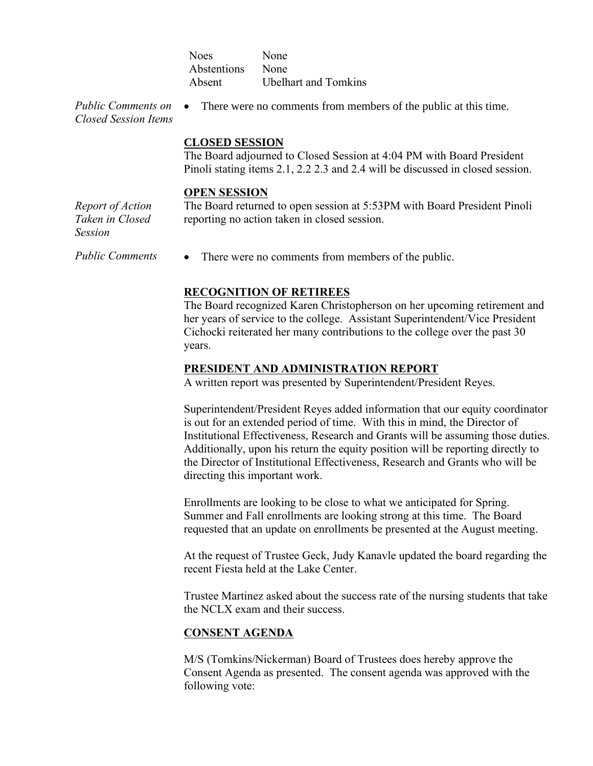| <b>Noes</b> | None                        |
|-------------|-----------------------------|
| Abstentions | None                        |
| Absent      | <b>Ubelhart and Tomkins</b> |

*Public Comments on Closed Session Items* There were no comments from members of the public at this time.

**CLOSED SESSION**

The Board adjourned to Closed Session at 4:04 PM with Board President Pinoli stating items 2.1, 2.2 2.3 and 2.4 will be discussed in closed session.

#### **OPEN SESSION**

*Report of Action Taken in Closed Session*

The Board returned to open session at 5:53PM with Board President Pinoli reporting no action taken in closed session.

*Public Comments* • There were no comments from members of the public.

## **RECOGNITION OF RETIREES**

The Board recognized Karen Christopherson on her upcoming retirement and her years of service to the college. Assistant Superintendent/Vice President Cichocki reiterated her many contributions to the college over the past 30 years.

#### **PRESIDENT AND ADMINISTRATION REPORT**

A written report was presented by Superintendent/President Reyes.

Superintendent/President Reyes added information that our equity coordinator is out for an extended period of time. With this in mind, the Director of Institutional Effectiveness, Research and Grants will be assuming those duties. Additionally, upon his return the equity position will be reporting directly to the Director of Institutional Effectiveness, Research and Grants who will be directing this important work.

Enrollments are looking to be close to what we anticipated for Spring. Summer and Fall enrollments are looking strong at this time. The Board requested that an update on enrollments be presented at the August meeting.

At the request of Trustee Geck, Judy Kanavle updated the board regarding the recent Fiesta held at the Lake Center.

Trustee Martinez asked about the success rate of the nursing students that take the NCLX exam and their success.

## **CONSENT AGENDA**

M/S (Tomkins/Nickerman) Board of Trustees does hereby approve the Consent Agenda as presented. The consent agenda was approved with the following vote: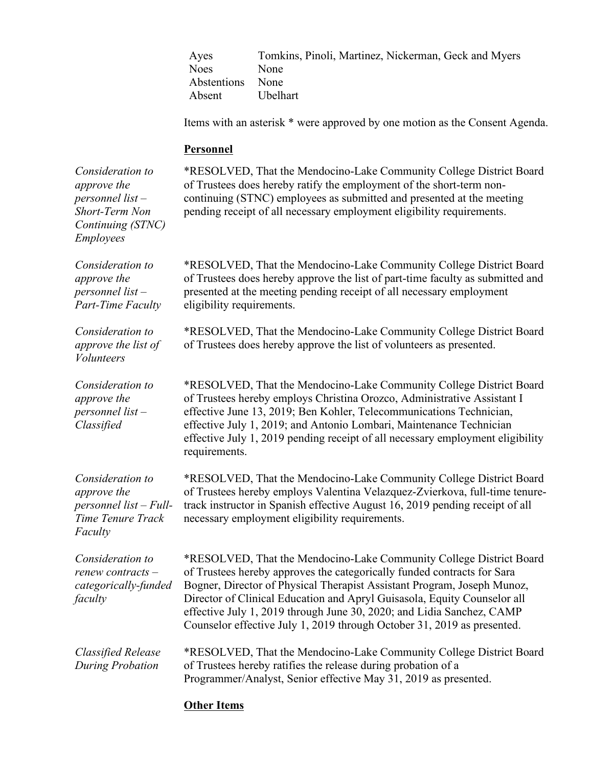Ayes Tomkins, Pinoli, Martinez, Nickerman, Geck and Myers Noes None Abstentions None Absent Ubelhart

Items with an asterisk \* were approved by one motion as the Consent Agenda.

\*RESOLVED, That the Mendocino-Lake Community College District Board

#### **Personnel**

*Consideration to* 

*approve the personnel list – Short-Term Non Continuing (STNC) Employees* of Trustees does hereby ratify the employment of the short-term noncontinuing (STNC) employees as submitted and presented at the meeting pending receipt of all necessary employment eligibility requirements. *Consideration to approve the personnel list – Part-Time Faculty* \*RESOLVED, That the Mendocino-Lake Community College District Board of Trustees does hereby approve the list of part-time faculty as submitted and presented at the meeting pending receipt of all necessary employment eligibility requirements. *Consideration to approve the list of Volunteers* \*RESOLVED, That the Mendocino-Lake Community College District Board of Trustees does hereby approve the list of volunteers as presented. *Consideration to approve the personnel list – Classified* \*RESOLVED, That the Mendocino-Lake Community College District Board of Trustees hereby employs Christina Orozco, Administrative Assistant I effective June 13, 2019; Ben Kohler, Telecommunications Technician, effective July 1, 2019; and Antonio Lombari, Maintenance Technician effective July 1, 2019 pending receipt of all necessary employment eligibility requirements. *Consideration to approve the personnel list – Full-Time Tenure Track Faculty* \*RESOLVED, That the Mendocino-Lake Community College District Board of Trustees hereby employs Valentina Velazquez-Zvierkova, full-time tenuretrack instructor in Spanish effective August 16, 2019 pending receipt of all necessary employment eligibility requirements. *Consideration to renew contracts – categorically-funded faculty* \*RESOLVED, That the Mendocino-Lake Community College District Board of Trustees hereby approves the categorically funded contracts for Sara Bogner, Director of Physical Therapist Assistant Program, Joseph Munoz, Director of Clinical Education and Apryl Guisasola, Equity Counselor all effective July 1, 2019 through June 30, 2020; and Lidia Sanchez, CAMP Counselor effective July 1, 2019 through October 31, 2019 as presented. *Classified Release During Probation* \*RESOLVED, That the Mendocino-Lake Community College District Board of Trustees hereby ratifies the release during probation of a Programmer/Analyst, Senior effective May 31, 2019 as presented.

### **Other Items**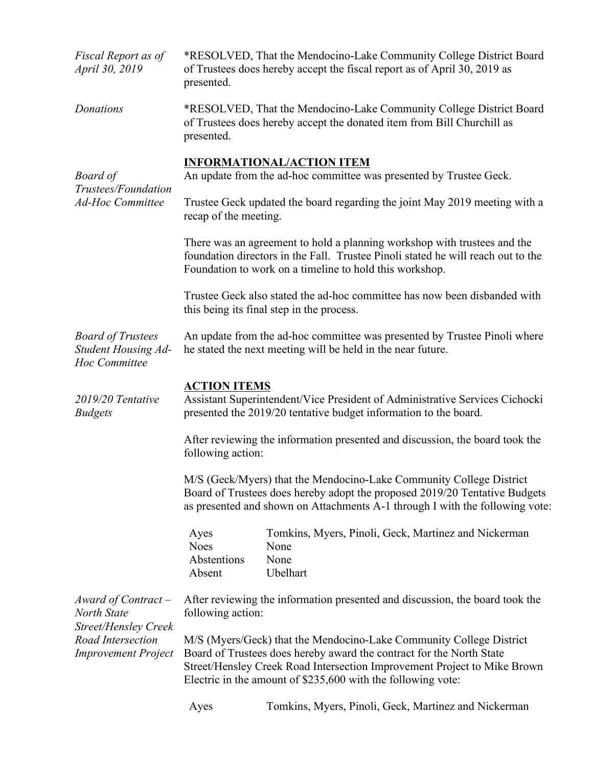| Fiscal Report as of<br>April 30, 2019                                                                                | *RESOLVED, That the Mendocino-Lake Community College District Board<br>of Trustees does hereby accept the fiscal report as of April 30, 2019 as<br>presented.                                                                                                                           |                                                                                                                                               |  |  |  |
|----------------------------------------------------------------------------------------------------------------------|-----------------------------------------------------------------------------------------------------------------------------------------------------------------------------------------------------------------------------------------------------------------------------------------|-----------------------------------------------------------------------------------------------------------------------------------------------|--|--|--|
| Donations                                                                                                            | presented.                                                                                                                                                                                                                                                                              | *RESOLVED, That the Mendocino-Lake Community College District Board<br>of Trustees does hereby accept the donated item from Bill Churchill as |  |  |  |
| Board of<br>Trustees/Foundation<br><b>Ad-Hoc Committee</b>                                                           | <b>INFORMATIONAL/ACTION ITEM</b>                                                                                                                                                                                                                                                        |                                                                                                                                               |  |  |  |
|                                                                                                                      | An update from the ad-hoc committee was presented by Trustee Geck.                                                                                                                                                                                                                      |                                                                                                                                               |  |  |  |
|                                                                                                                      | Trustee Geck updated the board regarding the joint May 2019 meeting with a<br>recap of the meeting.                                                                                                                                                                                     |                                                                                                                                               |  |  |  |
|                                                                                                                      | There was an agreement to hold a planning workshop with trustees and the<br>foundation directors in the Fall. Trustee Pinoli stated he will reach out to the<br>Foundation to work on a timeline to hold this workshop.                                                                 |                                                                                                                                               |  |  |  |
|                                                                                                                      | Trustee Geck also stated the ad-hoc committee has now been disbanded with<br>this being its final step in the process.                                                                                                                                                                  |                                                                                                                                               |  |  |  |
| <b>Board of Trustees</b><br><b>Student Housing Ad-</b><br>Hoc Committee                                              | An update from the ad-hoc committee was presented by Trustee Pinoli where<br>he stated the next meeting will be held in the near future.                                                                                                                                                |                                                                                                                                               |  |  |  |
| 2019/20 Tentative<br><b>Budgets</b>                                                                                  | <b>ACTION ITEMS</b><br>Assistant Superintendent/Vice President of Administrative Services Cichocki<br>presented the 2019/20 tentative budget information to the board.                                                                                                                  |                                                                                                                                               |  |  |  |
|                                                                                                                      | After reviewing the information presented and discussion, the board took the<br>following action:                                                                                                                                                                                       |                                                                                                                                               |  |  |  |
|                                                                                                                      | M/S (Geck/Myers) that the Mendocino-Lake Community College District<br>Board of Trustees does hereby adopt the proposed 2019/20 Tentative Budgets<br>as presented and shown on Attachments A-1 through I with the following vote:                                                       |                                                                                                                                               |  |  |  |
|                                                                                                                      | Ayes<br><b>Noes</b><br>Abstentions<br>Absent                                                                                                                                                                                                                                            | Tomkins, Myers, Pinoli, Geck, Martinez and Nickerman<br>None<br>None<br>Ubelhart                                                              |  |  |  |
| Award of Contract –<br>North State<br><b>Street/Hensley Creek</b><br>Road Intersection<br><b>Improvement Project</b> | After reviewing the information presented and discussion, the board took the<br>following action:                                                                                                                                                                                       |                                                                                                                                               |  |  |  |
|                                                                                                                      | M/S (Myers/Geck) that the Mendocino-Lake Community College District<br>Board of Trustees does hereby award the contract for the North State<br>Street/Hensley Creek Road Intersection Improvement Project to Mike Brown<br>Electric in the amount of \$235,600 with the following vote: |                                                                                                                                               |  |  |  |
|                                                                                                                      |                                                                                                                                                                                                                                                                                         |                                                                                                                                               |  |  |  |

Ayes Tomkins, Myers, Pinoli, Geck, Martinez and Nickerman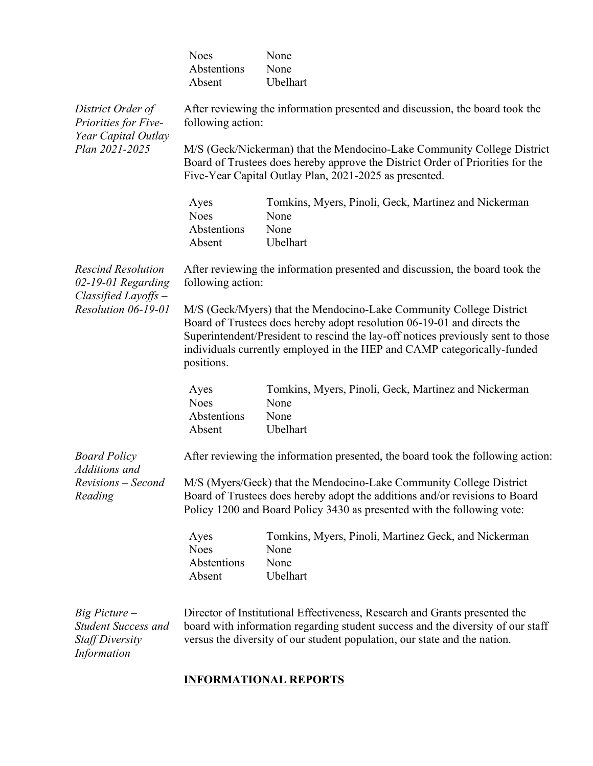|                                                                                          | <b>Noes</b><br>Abstentions<br>Absent                                                                                                                                                                                                                                                                                        | None<br>None<br>Ubelhart                                                         |  |  |
|------------------------------------------------------------------------------------------|-----------------------------------------------------------------------------------------------------------------------------------------------------------------------------------------------------------------------------------------------------------------------------------------------------------------------------|----------------------------------------------------------------------------------|--|--|
| District Order of<br>Priorities for Five-<br>Year Capital Outlay<br>Plan 2021-2025       | After reviewing the information presented and discussion, the board took the<br>following action:                                                                                                                                                                                                                           |                                                                                  |  |  |
|                                                                                          | M/S (Geck/Nickerman) that the Mendocino-Lake Community College District<br>Board of Trustees does hereby approve the District Order of Priorities for the<br>Five-Year Capital Outlay Plan, 2021-2025 as presented.                                                                                                         |                                                                                  |  |  |
|                                                                                          | Ayes<br><b>Noes</b><br>Abstentions<br>Absent                                                                                                                                                                                                                                                                                | Tomkins, Myers, Pinoli, Geck, Martinez and Nickerman<br>None<br>None<br>Ubelhart |  |  |
| <b>Rescind Resolution</b><br>02-19-01 Regarding<br>$Classified Layoffs -$                | After reviewing the information presented and discussion, the board took the<br>following action:                                                                                                                                                                                                                           |                                                                                  |  |  |
| Resolution 06-19-01                                                                      | M/S (Geck/Myers) that the Mendocino-Lake Community College District<br>Board of Trustees does hereby adopt resolution 06-19-01 and directs the<br>Superintendent/President to rescind the lay-off notices previously sent to those<br>individuals currently employed in the HEP and CAMP categorically-funded<br>positions. |                                                                                  |  |  |
|                                                                                          | Ayes<br><b>Noes</b><br>Abstentions<br>Absent                                                                                                                                                                                                                                                                                | Tomkins, Myers, Pinoli, Geck, Martinez and Nickerman<br>None<br>None<br>Ubelhart |  |  |
| <b>Board Policy</b><br>Additions and                                                     | After reviewing the information presented, the board took the following action:                                                                                                                                                                                                                                             |                                                                                  |  |  |
| Revisions - Second<br>Reading                                                            | M/S (Myers/Geck) that the Mendocino-Lake Community College District<br>Board of Trustees does hereby adopt the additions and/or revisions to Board<br>Policy 1200 and Board Policy 3430 as presented with the following vote:                                                                                               |                                                                                  |  |  |
|                                                                                          | Ayes<br><b>Noes</b><br>Abstentions<br>Absent                                                                                                                                                                                                                                                                                | Tomkins, Myers, Pinoli, Martinez Geck, and Nickerman<br>None<br>None<br>Ubelhart |  |  |
| $Big$ Picture $-$<br><b>Student Success and</b><br><b>Staff Diversity</b><br>Information | Director of Institutional Effectiveness, Research and Grants presented the<br>board with information regarding student success and the diversity of our staff<br>versus the diversity of our student population, our state and the nation.                                                                                  |                                                                                  |  |  |

# **INFORMATIONAL REPORTS**